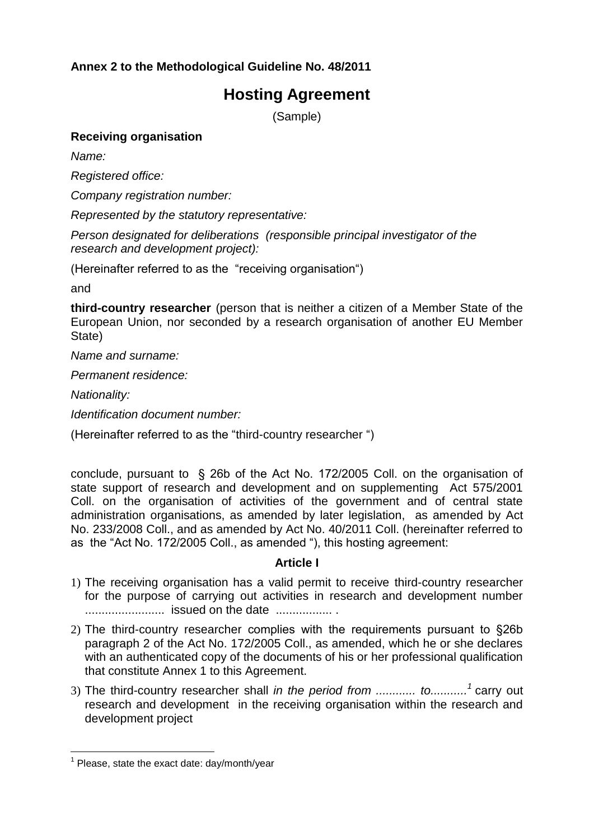## **Annex 2 to the Methodological Guideline No. 48/2011**

# **Hosting Agreement**

(Sample)

#### **Receiving organisation**

*Name:*

*Registered office:*

*Company registration number:*

*Represented by the statutory representative:*

*Person designated for deliberations (responsible principal investigator of the research and development project):* 

(Hereinafter referred to as the "receiving organisation")

and

**third-country researcher** (person that is neither a citizen of a Member State of the European Union, nor seconded by a research organisation of another EU Member State)

*Name and surname:*

*Permanent residence:*

*Nationality:*

 $\overline{a}$ 

*Identification document number:*

(Hereinafter referred to as the "third-country researcher ")

conclude, pursuant to § 26b of the Act No. 172/2005 Coll. on the organisation of state support of research and development and on supplementing Act 575/2001 Coll. on the organisation of activities of the government and of central state administration organisations, as amended by later legislation, as amended by Act No. 233/2008 Coll., and as amended by Act No. 40/2011 Coll. (hereinafter referred to as the "Act No. 172/2005 Coll., as amended "), this hosting agreement:

#### **Article I**

- 1) The receiving organisation has a valid permit to receive third-country researcher for the purpose of carrying out activities in research and development number ........................ issued on the date ................. .
- 2) The third-country researcher complies with the requirements pursuant to §26b paragraph 2 of the Act No. 172/2005 Coll., as amended, which he or she declares with an authenticated copy of the documents of his or her professional qualification that constitute Annex 1 to this Agreement.
- 3) The third-country researcher shall *in the period from ............ to...........<sup>1</sup>* carry out research and development in the receiving organisation within the research and development project

<sup>&</sup>lt;sup>1</sup> Please, state the exact date: day/month/year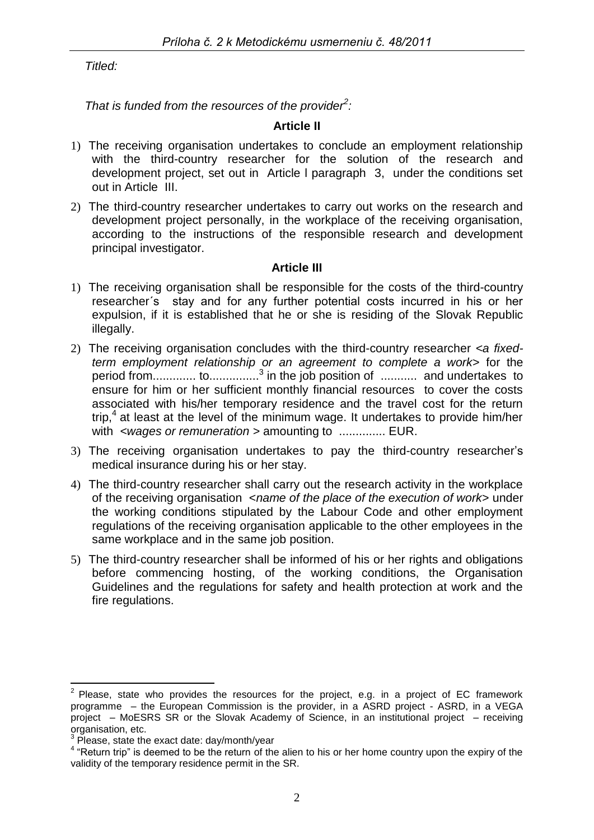*Titled:*

*That is funded from the resources of the provider<sup>2</sup> :*

## **Article II**

- 1) The receiving organisation undertakes to conclude an employment relationship with the third-country researcher for the solution of the research and development project, set out in Article l paragraph 3, under the conditions set out in Article III.
- 2) The third-country researcher undertakes to carry out works on the research and development project personally, in the workplace of the receiving organisation, according to the instructions of the responsible research and development principal investigator.

## **Article III**

- 1) The receiving organisation shall be responsible for the costs of the third-country researcher´s stay and for any further potential costs incurred in his or her expulsion, if it is established that he or she is residing of the Slovak Republic illegally.
- 2) The receiving organisation concludes with the third-country researcher *<a fixedterm employment relationship or an agreement to complete a work>* for the period from............. to...............<sup>3</sup> in the job position of ............ and undertakes to ensure for him or her sufficient monthly financial resources to cover the costs associated with his/her temporary residence and the travel cost for the return trip, $4$  at least at the level of the minimum wage. It undertakes to provide him/her with *<wages or remuneration >* amounting to .............. EUR.
- 3) The receiving organisation undertakes to pay the third-country researcher's medical insurance during his or her stay.
- 4) The third-country researcher shall carry out the research activity in the workplace of the receiving organisation <*name of the place of the execution of work>* under the working conditions stipulated by the Labour Code and other employment regulations of the receiving organisation applicable to the other employees in the same workplace and in the same job position.
- 5) The third-country researcher shall be informed of his or her rights and obligations before commencing hosting, of the working conditions, the Organisation Guidelines and the regulations for safety and health protection at work and the fire regulations.

 $\overline{a}$  $2$  Please, state who provides the resources for the project, e.g. in a project of EC framework programme – the European Commission is the provider, in a ASRD project - ASRD, in a VEGA project – MoESRS SR or the Slovak Academy of Science, in an institutional project – receiving organisation, etc.

<sup>3</sup> Please, state the exact date: day/month/year

<sup>&</sup>lt;sup>4</sup> "Return trip" is deemed to be the return of the alien to his or her home country upon the expiry of the validity of the temporary residence permit in the SR.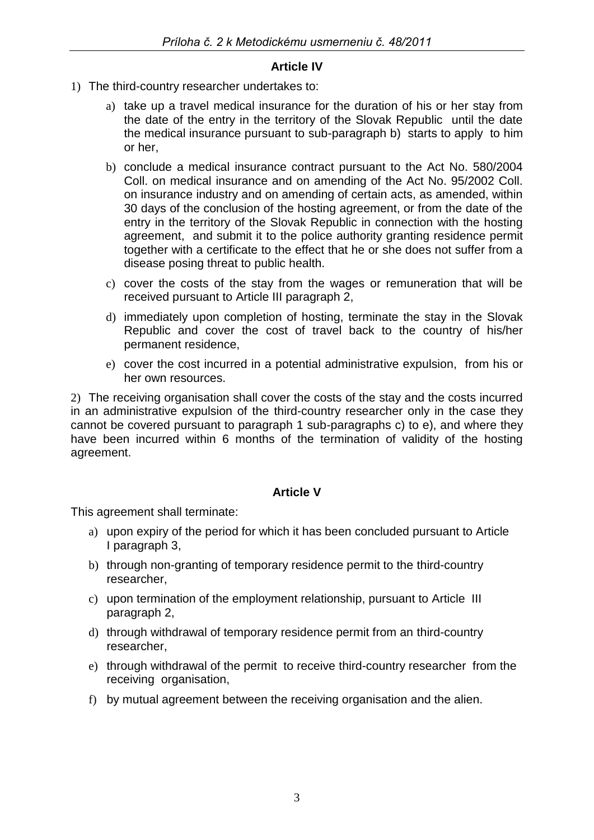#### **Article IV**

- 1) The third-country researcher undertakes to:
	- a) take up a travel medical insurance for the duration of his or her stay from the date of the entry in the territory of the Slovak Republic until the date the medical insurance pursuant to sub-paragraph b) starts to apply to him or her,
	- b) conclude a medical insurance contract pursuant to the Act No. 580/2004 Coll. on medical insurance and on amending of the Act No. 95/2002 Coll. on insurance industry and on amending of certain acts, as amended, within 30 days of the conclusion of the hosting agreement, or from the date of the entry in the territory of the Slovak Republic in connection with the hosting agreement, and submit it to the police authority granting residence permit together with a certificate to the effect that he or she does not suffer from a disease posing threat to public health.
	- c) cover the costs of the stay from the wages or remuneration that will be received pursuant to Article III paragraph 2,
	- d) immediately upon completion of hosting, terminate the stay in the Slovak Republic and cover the cost of travel back to the country of his/her permanent residence,
	- e) cover the cost incurred in a potential administrative expulsion, from his or her own resources.

2) The receiving organisation shall cover the costs of the stay and the costs incurred in an administrative expulsion of the third-country researcher only in the case they cannot be covered pursuant to paragraph 1 sub-paragraphs c) to e), and where they have been incurred within 6 months of the termination of validity of the hosting agreement.

## **Article V**

This agreement shall terminate:

- a) upon expiry of the period for which it has been concluded pursuant to Article I paragraph 3,
- b) through non-granting of temporary residence permit to the third-country researcher,
- c) upon termination of the employment relationship, pursuant to Article III paragraph 2,
- d) through withdrawal of temporary residence permit from an third-country researcher,
- e) through withdrawal of the permit to receive third-country researcher from the receiving organisation,
- f) by mutual agreement between the receiving organisation and the alien.